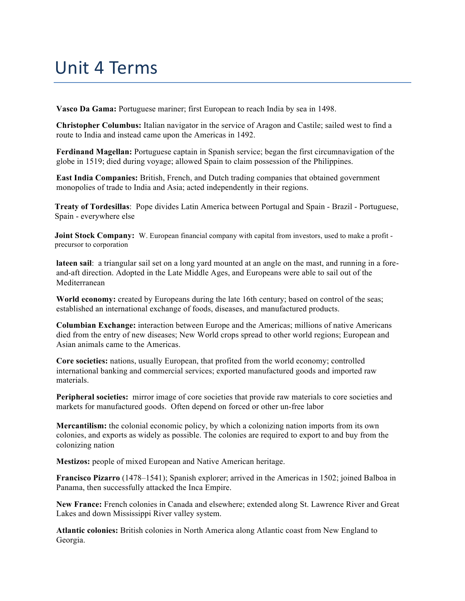## Unit 4 Terms

**Vasco Da Gama:** Portuguese mariner; first European to reach India by sea in 1498.

**Christopher Columbus:** Italian navigator in the service of Aragon and Castile; sailed west to find a route to India and instead came upon the Americas in 1492.

**Ferdinand Magellan:** Portuguese captain in Spanish service; began the first circumnavigation of the globe in 1519; died during voyage; allowed Spain to claim possession of the Philippines.

**East India Companies:** British, French, and Dutch trading companies that obtained government monopolies of trade to India and Asia; acted independently in their regions.

**Treaty of Tordesillas**: Pope divides Latin America between Portugal and Spain - Brazil - Portuguese, Spain - everywhere else

**Joint Stock Company:** W. European financial company with capital from investors, used to make a profit precursor to corporation

**lateen sail**: a triangular sail set on a long yard mounted at an angle on the mast, and running in a foreand-aft direction. Adopted in the Late Middle Ages, and Europeans were able to sail out of the Mediterranean

**World economy:** created by Europeans during the late 16th century; based on control of the seas; established an international exchange of foods, diseases, and manufactured products.

**Columbian Exchange:** interaction between Europe and the Americas; millions of native Americans died from the entry of new diseases; New World crops spread to other world regions; European and Asian animals came to the Americas.

**Core societies:** nations, usually European, that profited from the world economy; controlled international banking and commercial services; exported manufactured goods and imported raw materials.

**Peripheral societies:** mirror image of core societies that provide raw materials to core societies and markets for manufactured goods. Often depend on forced or other un-free labor

**Mercantilism:** the colonial economic policy, by which a colonizing nation imports from its own colonies, and exports as widely as possible. The colonies are required to export to and buy from the colonizing nation

**Mestizos:** people of mixed European and Native American heritage.

**Francisco Pizarro** (1478–1541); Spanish explorer; arrived in the Americas in 1502; joined Balboa in Panama, then successfully attacked the Inca Empire.

**New France:** French colonies in Canada and elsewhere; extended along St. Lawrence River and Great Lakes and down Mississippi River valley system.

**Atlantic colonies:** British colonies in North America along Atlantic coast from New England to Georgia.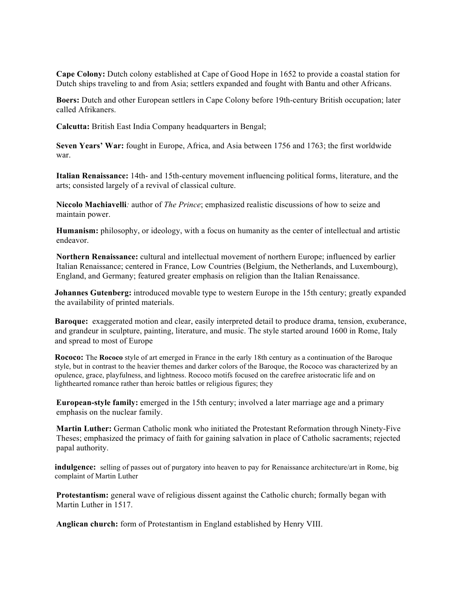**Cape Colony:** Dutch colony established at Cape of Good Hope in 1652 to provide a coastal station for Dutch ships traveling to and from Asia; settlers expanded and fought with Bantu and other Africans.

**Boers:** Dutch and other European settlers in Cape Colony before 19th-century British occupation; later called Afrikaners.

**Calcutta:** British East India Company headquarters in Bengal;

**Seven Years' War:** fought in Europe, Africa, and Asia between 1756 and 1763; the first worldwide war.

**Italian Renaissance:** 14th- and 15th-century movement influencing political forms, literature, and the arts; consisted largely of a revival of classical culture.

**Niccolo Machiavelli***:* author of *The Prince*; emphasized realistic discussions of how to seize and maintain power.

**Humanism:** philosophy, or ideology, with a focus on humanity as the center of intellectual and artistic endeavor.

**Northern Renaissance:** cultural and intellectual movement of northern Europe; influenced by earlier Italian Renaissance; centered in France, Low Countries (Belgium, the Netherlands, and Luxembourg), England, and Germany; featured greater emphasis on religion than the Italian Renaissance.

**Johannes Gutenberg:** introduced movable type to western Europe in the 15th century; greatly expanded the availability of printed materials.

**Baroque:** exaggerated motion and clear, easily interpreted detail to produce drama, tension, exuberance, and grandeur in sculpture, painting, literature, and music. The style started around 1600 in Rome, Italy and spread to most of Europe

**Rococo:** The **Rococo** style of art emerged in France in the early 18th century as a continuation of the Baroque style, but in contrast to the heavier themes and darker colors of the Baroque, the Rococo was characterized by an opulence, grace, playfulness, and lightness. Rococo motifs focused on the carefree aristocratic life and on lighthearted romance rather than heroic battles or religious figures; they

**European-style family:** emerged in the 15th century; involved a later marriage age and a primary emphasis on the nuclear family.

**Martin Luther:** German Catholic monk who initiated the Protestant Reformation through Ninety-Five Theses; emphasized the primacy of faith for gaining salvation in place of Catholic sacraments; rejected papal authority.

**indulgence:** selling of passes out of purgatory into heaven to pay for Renaissance architecture/art in Rome, big complaint of Martin Luther

**Protestantism:** general wave of religious dissent against the Catholic church; formally began with Martin Luther in 1517.

**Anglican church:** form of Protestantism in England established by Henry VIII.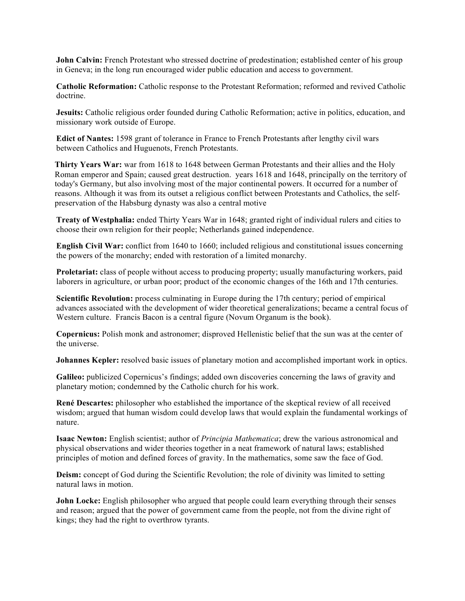**John Calvin:** French Protestant who stressed doctrine of predestination; established center of his group in Geneva; in the long run encouraged wider public education and access to government.

**Catholic Reformation:** Catholic response to the Protestant Reformation; reformed and revived Catholic doctrine.

**Jesuits:** Catholic religious order founded during Catholic Reformation; active in politics, education, and missionary work outside of Europe.

**Edict of Nantes:** 1598 grant of tolerance in France to French Protestants after lengthy civil wars between Catholics and Huguenots, French Protestants.

**Thirty Years War:** war from 1618 to 1648 between German Protestants and their allies and the Holy Roman emperor and Spain; caused great destruction. years 1618 and 1648, principally on the territory of today's Germany, but also involving most of the major continental powers. It occurred for a number of reasons. Although it was from its outset a religious conflict between Protestants and Catholics, the selfpreservation of the Habsburg dynasty was also a central motive

**Treaty of Westphalia:** ended Thirty Years War in 1648; granted right of individual rulers and cities to choose their own religion for their people; Netherlands gained independence.

**English Civil War:** conflict from 1640 to 1660; included religious and constitutional issues concerning the powers of the monarchy; ended with restoration of a limited monarchy.

**Proletariat:** class of people without access to producing property; usually manufacturing workers, paid laborers in agriculture, or urban poor; product of the economic changes of the 16th and 17th centuries.

**Scientific Revolution:** process culminating in Europe during the 17th century; period of empirical advances associated with the development of wider theoretical generalizations; became a central focus of Western culture. Francis Bacon is a central figure (Novum Organum is the book).

**Copernicus:** Polish monk and astronomer; disproved Hellenistic belief that the sun was at the center of the universe.

**Johannes Kepler:** resolved basic issues of planetary motion and accomplished important work in optics.

**Galileo:** publicized Copernicus's findings; added own discoveries concerning the laws of gravity and planetary motion; condemned by the Catholic church for his work.

**René Descartes:** philosopher who established the importance of the skeptical review of all received wisdom; argued that human wisdom could develop laws that would explain the fundamental workings of nature.

**Isaac Newton:** English scientist; author of *Principia Mathematica*; drew the various astronomical and physical observations and wider theories together in a neat framework of natural laws; established principles of motion and defined forces of gravity. In the mathematics, some saw the face of God.

**Deism:** concept of God during the Scientific Revolution; the role of divinity was limited to setting natural laws in motion.

**John Locke:** English philosopher who argued that people could learn everything through their senses and reason; argued that the power of government came from the people, not from the divine right of kings; they had the right to overthrow tyrants.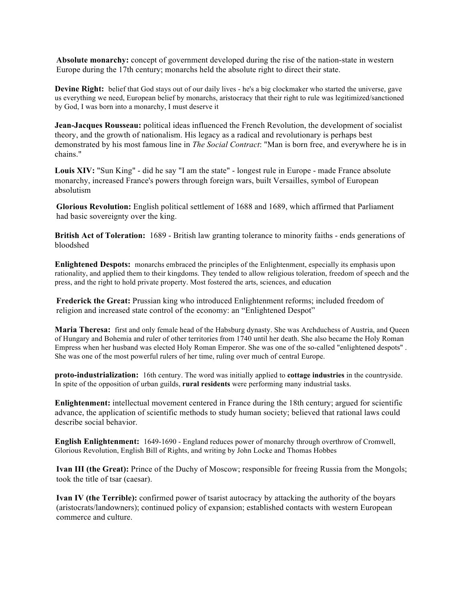**Absolute monarchy:** concept of government developed during the rise of the nation-state in western Europe during the 17th century; monarchs held the absolute right to direct their state.

**Devine Right:** belief that God stays out of our daily lives - he's a big clockmaker who started the universe, gave us everything we need, European belief by monarchs, aristocracy that their right to rule was legitimized/sanctioned by God, I was born into a monarchy, I must deserve it

**Jean-Jacques Rousseau:** political ideas influenced the French Revolution, the development of socialist theory, and the growth of nationalism. His legacy as a radical and revolutionary is perhaps best demonstrated by his most famous line in *The Social Contract*: "Man is born free, and everywhere he is in chains."

Louis XIV: "Sun King" - did he say "I am the state" - longest rule in Europe - made France absolute monarchy, increased France's powers through foreign wars, built Versailles, symbol of European absolutism

**Glorious Revolution:** English political settlement of 1688 and 1689, which affirmed that Parliament had basic sovereignty over the king.

**British Act of Toleration:** 1689 - British law granting tolerance to minority faiths - ends generations of bloodshed

**Enlightened Despots:** monarchs embraced the principles of the Enlightenment, especially its emphasis upon rationality, and applied them to their kingdoms. They tended to allow religious toleration, freedom of speech and the press, and the right to hold private property. Most fostered the arts, sciences, and education

**Frederick the Great:** Prussian king who introduced Enlightenment reforms; included freedom of religion and increased state control of the economy: an "Enlightened Despot"

**Maria Theresa:** first and only female head of the Habsburg dynasty. She was Archduchess of Austria, and Queen of Hungary and Bohemia and ruler of other territories from 1740 until her death. She also became the Holy Roman Empress when her husband was elected Holy Roman Emperor. She was one of the so-called "enlightened despots" . She was one of the most powerful rulers of her time, ruling over much of central Europe.

**proto-industrialization:** 16th century. The word was initially applied to **cottage industries** in the countryside. In spite of the opposition of urban guilds, **rural residents** were performing many industrial tasks.

**Enlightenment:** intellectual movement centered in France during the 18th century; argued for scientific advance, the application of scientific methods to study human society; believed that rational laws could describe social behavior.

**English Enlightenment:** 1649-1690 - England reduces power of monarchy through overthrow of Cromwell, Glorious Revolution, English Bill of Rights, and writing by John Locke and Thomas Hobbes

**Ivan III (the Great):** Prince of the Duchy of Moscow; responsible for freeing Russia from the Mongols; took the title of tsar (caesar).

**Ivan IV (the Terrible):** confirmed power of tsarist autocracy by attacking the authority of the boyars (aristocrats/landowners); continued policy of expansion; established contacts with western European commerce and culture.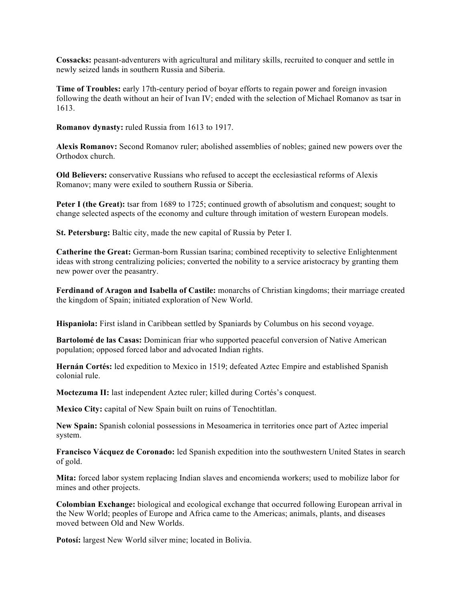**Cossacks:** peasant-adventurers with agricultural and military skills, recruited to conquer and settle in newly seized lands in southern Russia and Siberia.

**Time of Troubles:** early 17th-century period of boyar efforts to regain power and foreign invasion following the death without an heir of Ivan IV; ended with the selection of Michael Romanov as tsar in 1613.

**Romanov dynasty:** ruled Russia from 1613 to 1917.

**Alexis Romanov:** Second Romanov ruler; abolished assemblies of nobles; gained new powers over the Orthodox church.

**Old Believers:** conservative Russians who refused to accept the ecclesiastical reforms of Alexis Romanov; many were exiled to southern Russia or Siberia.

**Peter I (the Great):** tsar from 1689 to 1725; continued growth of absolutism and conquest; sought to change selected aspects of the economy and culture through imitation of western European models.

**St. Petersburg:** Baltic city, made the new capital of Russia by Peter I.

**Catherine the Great:** German-born Russian tsarina; combined receptivity to selective Enlightenment ideas with strong centralizing policies; converted the nobility to a service aristocracy by granting them new power over the peasantry.

**Ferdinand of Aragon and Isabella of Castile:** monarchs of Christian kingdoms; their marriage created the kingdom of Spain; initiated exploration of New World.

**Hispaniola:** First island in Caribbean settled by Spaniards by Columbus on his second voyage.

**Bartolomé de las Casas:** Dominican friar who supported peaceful conversion of Native American population; opposed forced labor and advocated Indian rights.

**Hernán Cortés:** led expedition to Mexico in 1519; defeated Aztec Empire and established Spanish colonial rule.

**Moctezuma II:** last independent Aztec ruler; killed during Cortés's conquest.

**Mexico City:** capital of New Spain built on ruins of Tenochtitlan.

**New Spain:** Spanish colonial possessions in Mesoamerica in territories once part of Aztec imperial system.

**Francisco Vácquez de Coronado:** led Spanish expedition into the southwestern United States in search of gold.

**Mita:** forced labor system replacing Indian slaves and encomienda workers; used to mobilize labor for mines and other projects.

**Colombian Exchange:** biological and ecological exchange that occurred following European arrival in the New World; peoples of Europe and Africa came to the Americas; animals, plants, and diseases moved between Old and New Worlds.

Potosí: largest New World silver mine; located in Bolivia.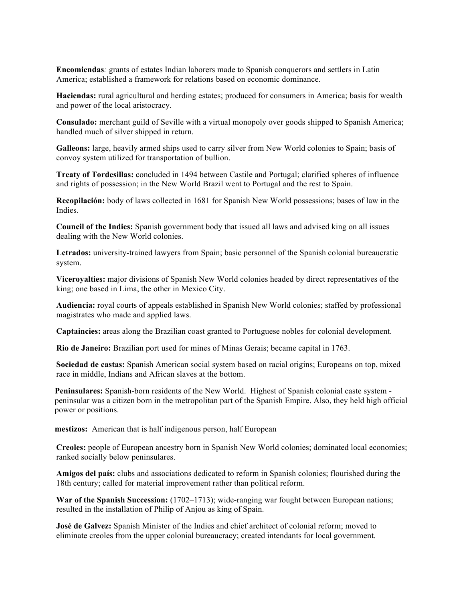**Encomiendas***:* grants of estates Indian laborers made to Spanish conquerors and settlers in Latin America; established a framework for relations based on economic dominance.

**Haciendas:** rural agricultural and herding estates; produced for consumers in America; basis for wealth and power of the local aristocracy.

**Consulado:** merchant guild of Seville with a virtual monopoly over goods shipped to Spanish America; handled much of silver shipped in return.

**Galleons:** large, heavily armed ships used to carry silver from New World colonies to Spain; basis of convoy system utilized for transportation of bullion.

**Treaty of Tordesillas:** concluded in 1494 between Castile and Portugal; clarified spheres of influence and rights of possession; in the New World Brazil went to Portugal and the rest to Spain.

**Recopilación:** body of laws collected in 1681 for Spanish New World possessions; bases of law in the Indies.

**Council of the Indies:** Spanish government body that issued all laws and advised king on all issues dealing with the New World colonies.

**Letrados:** university-trained lawyers from Spain; basic personnel of the Spanish colonial bureaucratic system.

**Viceroyalties:** major divisions of Spanish New World colonies headed by direct representatives of the king; one based in Lima, the other in Mexico City.

**Audiencia:** royal courts of appeals established in Spanish New World colonies; staffed by professional magistrates who made and applied laws.

**Captaincies:** areas along the Brazilian coast granted to Portuguese nobles for colonial development.

**Rio de Janeiro:** Brazilian port used for mines of Minas Gerais; became capital in 1763.

**Sociedad de castas:** Spanish American social system based on racial origins; Europeans on top, mixed race in middle, Indians and African slaves at the bottom.

**Peninsulares:** Spanish-born residents of the New World. Highest of Spanish colonial caste system peninsular was a citizen born in the metropolitan part of the Spanish Empire. Also, they held high official power or positions.

**mestizos:** American that is half indigenous person, half European

**Creoles:** people of European ancestry born in Spanish New World colonies; dominated local economies; ranked socially below peninsulares.

**Amigos del país:** clubs and associations dedicated to reform in Spanish colonies; flourished during the 18th century; called for material improvement rather than political reform.

**War of the Spanish Succession:** (1702–1713); wide-ranging war fought between European nations; resulted in the installation of Philip of Anjou as king of Spain.

**José de Galvez:** Spanish Minister of the Indies and chief architect of colonial reform; moved to eliminate creoles from the upper colonial bureaucracy; created intendants for local government.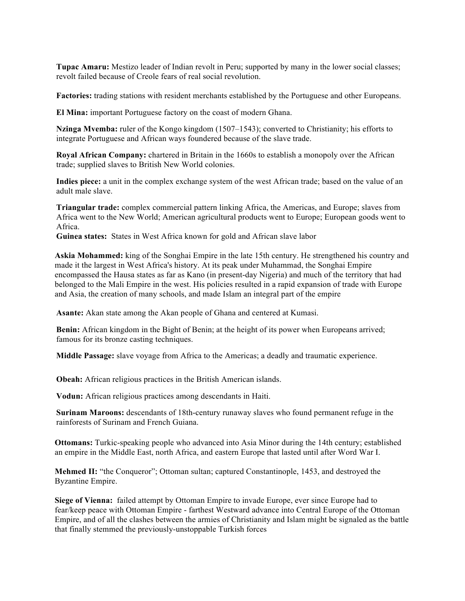**Tupac Amaru:** Mestizo leader of Indian revolt in Peru; supported by many in the lower social classes; revolt failed because of Creole fears of real social revolution.

**Factories:** trading stations with resident merchants established by the Portuguese and other Europeans.

**El Mina:** important Portuguese factory on the coast of modern Ghana.

**Nzinga Mvemba:** ruler of the Kongo kingdom (1507–1543); converted to Christianity; his efforts to integrate Portuguese and African ways foundered because of the slave trade.

**Royal African Company:** chartered in Britain in the 1660s to establish a monopoly over the African trade; supplied slaves to British New World colonies.

**Indies piece:** a unit in the complex exchange system of the west African trade; based on the value of an adult male slave.

**Triangular trade:** complex commercial pattern linking Africa, the Americas, and Europe; slaves from Africa went to the New World; American agricultural products went to Europe; European goods went to Africa.

**Guinea states:** States in West Africa known for gold and African slave labor

**Askia Mohammed:** king of the Songhai Empire in the late 15th century. He strengthened his country and made it the largest in West Africa's history. At its peak under Muhammad, the Songhai Empire encompassed the Hausa states as far as Kano (in present-day Nigeria) and much of the territory that had belonged to the Mali Empire in the west. His policies resulted in a rapid expansion of trade with Europe and Asia, the creation of many schools, and made Islam an integral part of the empire

**Asante:** Akan state among the Akan people of Ghana and centered at Kumasi.

**Benin:** African kingdom in the Bight of Benin; at the height of its power when Europeans arrived; famous for its bronze casting techniques.

**Middle Passage:** slave voyage from Africa to the Americas; a deadly and traumatic experience.

**Obeah:** African religious practices in the British American islands.

**Vodun:** African religious practices among descendants in Haiti.

**Surinam Maroons:** descendants of 18th-century runaway slaves who found permanent refuge in the rainforests of Surinam and French Guiana.

**Ottomans:** Turkic-speaking people who advanced into Asia Minor during the 14th century; established an empire in the Middle East, north Africa, and eastern Europe that lasted until after Word War I.

**Mehmed II:** "the Conqueror"; Ottoman sultan; captured Constantinople, 1453, and destroyed the Byzantine Empire.

**Siege of Vienna:** failed attempt by Ottoman Empire to invade Europe, ever since Europe had to fear/keep peace with Ottoman Empire - farthest Westward advance into Central Europe of the Ottoman Empire, and of all the clashes between the armies of Christianity and Islam might be signaled as the battle that finally stemmed the previously-unstoppable Turkish forces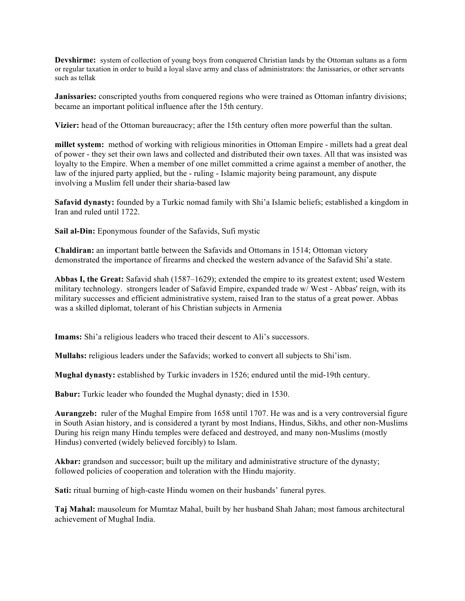**Devshirme:** system of collection of young boys from conquered Christian lands by the Ottoman sultans as a form or regular taxation in order to build a loyal slave army and class of administrators: the Janissaries, or other servants such as tellak

**Janissaries:** conscripted youths from conquered regions who were trained as Ottoman infantry divisions; became an important political influence after the 15th century.

**Vizier:** head of the Ottoman bureaucracy; after the 15th century often more powerful than the sultan.

**millet system:** method of working with religious minorities in Ottoman Empire - millets had a great deal of power - they set their own laws and collected and distributed their own taxes. All that was insisted was loyalty to the Empire. When a member of one millet committed a crime against a member of another, the law of the injured party applied, but the - ruling - Islamic majority being paramount, any dispute involving a Muslim fell under their sharia-based law

**Safavid dynasty:** founded by a Turkic nomad family with Shi'a Islamic beliefs; established a kingdom in Iran and ruled until 1722.

**Sail al-Din:** Eponymous founder of the Safavids, Sufi mystic

**Chaldiran:** an important battle between the Safavids and Ottomans in 1514; Ottoman victory demonstrated the importance of firearms and checked the western advance of the Safavid Shi'a state.

**Abbas I, the Great:** Safavid shah (1587–1629); extended the empire to its greatest extent; used Western military technology. strongers leader of Safavid Empire, expanded trade w/ West - Abbas' reign, with its military successes and efficient administrative system, raised Iran to the status of a great power. Abbas was a skilled diplomat, tolerant of his Christian subjects in Armenia

**Imams:** Shi'a religious leaders who traced their descent to Ali's successors.

**Mullahs:** religious leaders under the Safavids; worked to convert all subjects to Shi'ism.

**Mughal dynasty:** established by Turkic invaders in 1526; endured until the mid-19th century.

**Babur:** Turkic leader who founded the Mughal dynasty; died in 1530.

**Aurangzeb:** ruler of the Mughal Empire from 1658 until 1707. He was and is a very controversial figure in South Asian history, and is considered a tyrant by most Indians, Hindus, Sikhs, and other non-Muslims During his reign many Hindu temples were defaced and destroyed, and many non-Muslims (mostly Hindus) converted (widely believed forcibly) to Islam.

**Akbar:** grandson and successor; built up the military and administrative structure of the dynasty; followed policies of cooperation and toleration with the Hindu majority.

**Sati:** ritual burning of high-caste Hindu women on their husbands' funeral pyres.

**Taj Mahal:** mausoleum for Mumtaz Mahal, built by her husband Shah Jahan; most famous architectural achievement of Mughal India.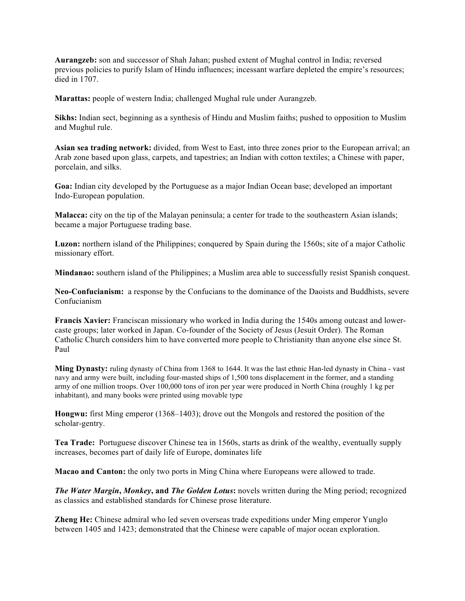**Aurangzeb:** son and successor of Shah Jahan; pushed extent of Mughal control in India; reversed previous policies to purify Islam of Hindu influences; incessant warfare depleted the empire's resources; died in 1707.

**Marattas:** people of western India; challenged Mughal rule under Aurangzeb.

**Sikhs:** Indian sect, beginning as a synthesis of Hindu and Muslim faiths; pushed to opposition to Muslim and Mughul rule.

**Asian sea trading network:** divided, from West to East, into three zones prior to the European arrival; an Arab zone based upon glass, carpets, and tapestries; an Indian with cotton textiles; a Chinese with paper, porcelain, and silks.

**Goa:** Indian city developed by the Portuguese as a major Indian Ocean base; developed an important Indo-European population.

**Malacca:** city on the tip of the Malayan peninsula; a center for trade to the southeastern Asian islands; became a major Portuguese trading base.

**Luzon:** northern island of the Philippines; conquered by Spain during the 1560s; site of a major Catholic missionary effort.

**Mindanao:** southern island of the Philippines; a Muslim area able to successfully resist Spanish conquest.

**Neo-Confucianism:** a response by the Confucians to the dominance of the Daoists and Buddhists, severe Confucianism

**Francis Xavier:** Franciscan missionary who worked in India during the 1540s among outcast and lowercaste groups; later worked in Japan. Co-founder of the Society of Jesus (Jesuit Order). The Roman Catholic Church considers him to have converted more people to Christianity than anyone else since St. Paul

**Ming Dynasty:** ruling dynasty of China from 1368 to 1644. It was the last ethnic Han-led dynasty in China - vast navy and army were built, including four-masted ships of 1,500 tons displacement in the former, and a standing army of one million troops. Over 100,000 tons of iron per year were produced in North China (roughly 1 kg per inhabitant), and many books were printed using movable type

**Hongwu:** first Ming emperor (1368–1403); drove out the Mongols and restored the position of the scholar-gentry.

**Tea Trade:** Portuguese discover Chinese tea in 1560s, starts as drink of the wealthy, eventually supply increases, becomes part of daily life of Europe, dominates life

**Macao and Canton:** the only two ports in Ming China where Europeans were allowed to trade.

*The Water Margin***,** *Monkey***, and** *The Golden Lotus***:** novels written during the Ming period; recognized as classics and established standards for Chinese prose literature.

**Zheng He:** Chinese admiral who led seven overseas trade expeditions under Ming emperor Yunglo between 1405 and 1423; demonstrated that the Chinese were capable of major ocean exploration.